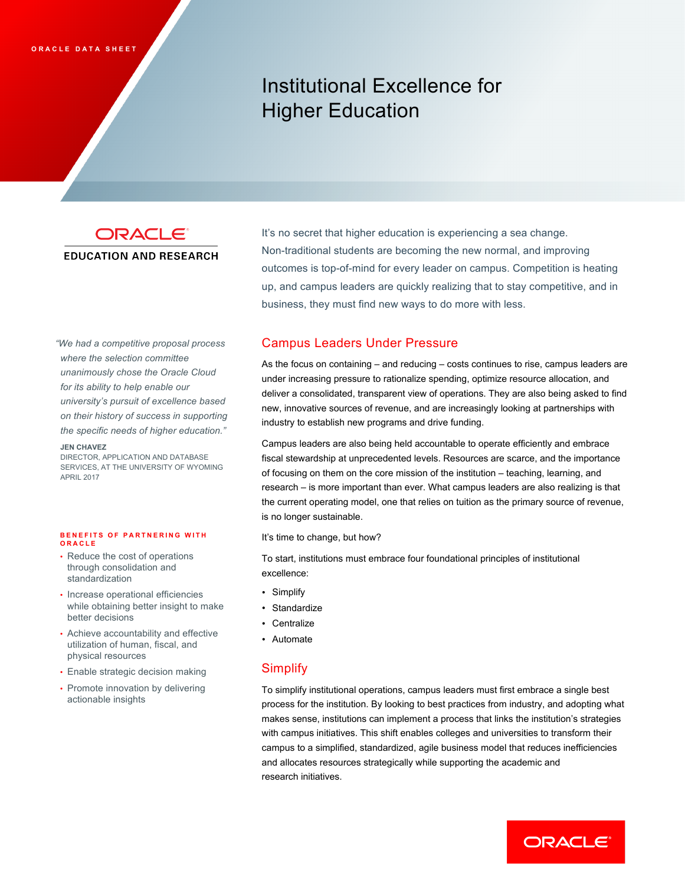# Institutional Excellence for Higher Education

## **EDUCATION AND RESEARCH**

**ORACLE**<sup>\*</sup> It's no secret that higher education is experiencing a sea change. Non-traditional students are becoming the new normal, and improving outcomes is top-of-mind for every leader on campus. Competition is heating up, and campus leaders are quickly realizing that to stay competitive, and in business, they must find new ways to do more with less.

*"We had a competitive proposal process where the selection committee unanimously chose the Oracle Cloud for its ability to help enable our university's pursuit of excellence based on their history of success in supporting the specific needs of higher education."* 

#### **JEN CHAVEZ**

DIRECTOR, APPLICATION AND DATABASE SERVICES, AT THE UNIVERSITY OF WYOMING APRIL 2017

#### **BENEFITS OF PARTNERING WITH ORACLE**

- Reduce the cost of operations through consolidation and standardization
- Increase operational efficiencies while obtaining better insight to make better decisions
- Achieve accountability and effective utilization of human, fiscal, and physical resources
- Enable strategic decision making
- Promote innovation by delivering actionable insights

# Campus Leaders Under Pressure

As the focus on containing – and reducing – costs continues to rise, campus leaders are under increasing pressure to rationalize spending, optimize resource allocation, and deliver a consolidated, transparent view of operations. They are also being asked to find new, innovative sources of revenue, and are increasingly looking at partnerships with industry to establish new programs and drive funding.

Campus leaders are also being held accountable to operate efficiently and embrace fiscal stewardship at unprecedented levels. Resources are scarce, and the importance of focusing on them on the core mission of the institution – teaching, learning, and research – is more important than ever. What campus leaders are also realizing is that the current operating model, one that relies on tuition as the primary source of revenue, is no longer sustainable.

It's time to change, but how?

To start, institutions must embrace four foundational principles of institutional excellence:

- Simplify
- Standardize
- Centralize
- Automate

## **Simplify**

To simplify institutional operations, campus leaders must first embrace a single best process for the institution. By looking to best practices from industry, and adopting what makes sense, institutions can implement a process that links the institution's strategies with campus initiatives. This shift enables colleges and universities to transform their campus to a simplified, standardized, agile business model that reduces inefficiencies and allocates resources strategically while supporting the academic and research initiatives.

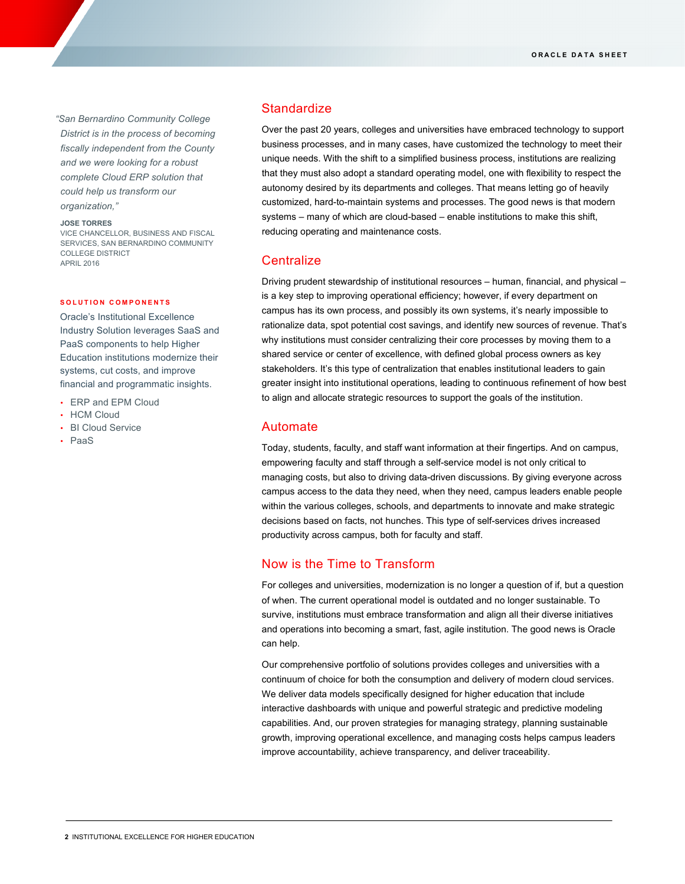*"San Bernardino Community College District is in the process of becoming fiscally independent from the County and we were looking for a robust complete Cloud ERP solution that could help us transform our organization,"*

#### **JOSE TORRES**

VICE CHANCELLOR, BUSINESS AND FISCAL SERVICES, SAN BERNARDINO COMMUNITY COLLEGE DISTRICT APRIL 2016

### **SOLUTION COMPONENTS**

Oracle's Institutional Excellence Industry Solution leverages SaaS and PaaS components to help Higher Education institutions modernize their systems, cut costs, and improve financial and programmatic insights.

- ERP and EPM Cloud
- HCM Cloud
- BI Cloud Service
- PaaS

## **Standardize**

Over the past 20 years, colleges and universities have embraced technology to support business processes, and in many cases, have customized the technology to meet their unique needs. With the shift to a simplified business process, institutions are realizing that they must also adopt a standard operating model, one with flexibility to respect the autonomy desired by its departments and colleges. That means letting go of heavily customized, hard-to-maintain systems and processes. The good news is that modern systems – many of which are cloud-based – enable institutions to make this shift, reducing operating and maintenance costs.

## **Centralize**

Driving prudent stewardship of institutional resources – human, financial, and physical – is a key step to improving operational efficiency; however, if every department on campus has its own process, and possibly its own systems, it's nearly impossible to rationalize data, spot potential cost savings, and identify new sources of revenue. That's why institutions must consider centralizing their core processes by moving them to a shared service or center of excellence, with defined global process owners as key stakeholders. It's this type of centralization that enables institutional leaders to gain greater insight into institutional operations, leading to continuous refinement of how best to align and allocate strategic resources to support the goals of the institution.

## Automate

Today, students, faculty, and staff want information at their fingertips. And on campus, empowering faculty and staff through a self-service model is not only critical to managing costs, but also to driving data-driven discussions. By giving everyone across campus access to the data they need, when they need, campus leaders enable people within the various colleges, schools, and departments to innovate and make strategic decisions based on facts, not hunches. This type of self-services drives increased productivity across campus, both for faculty and staff.

## Now is the Time to Transform

For colleges and universities, modernization is no longer a question of if, but a question of when. The current operational model is outdated and no longer sustainable. To survive, institutions must embrace transformation and align all their diverse initiatives and operations into becoming a smart, fast, agile institution. The good news is Oracle can help.

Our comprehensive portfolio of solutions provides colleges and universities with a continuum of choice for both the consumption and delivery of modern cloud services. We deliver data models specifically designed for higher education that include interactive dashboards with unique and powerful strategic and predictive modeling capabilities. And, our proven strategies for managing strategy, planning sustainable growth, improving operational excellence, and managing costs helps campus leaders improve accountability, achieve transparency, and deliver traceability.